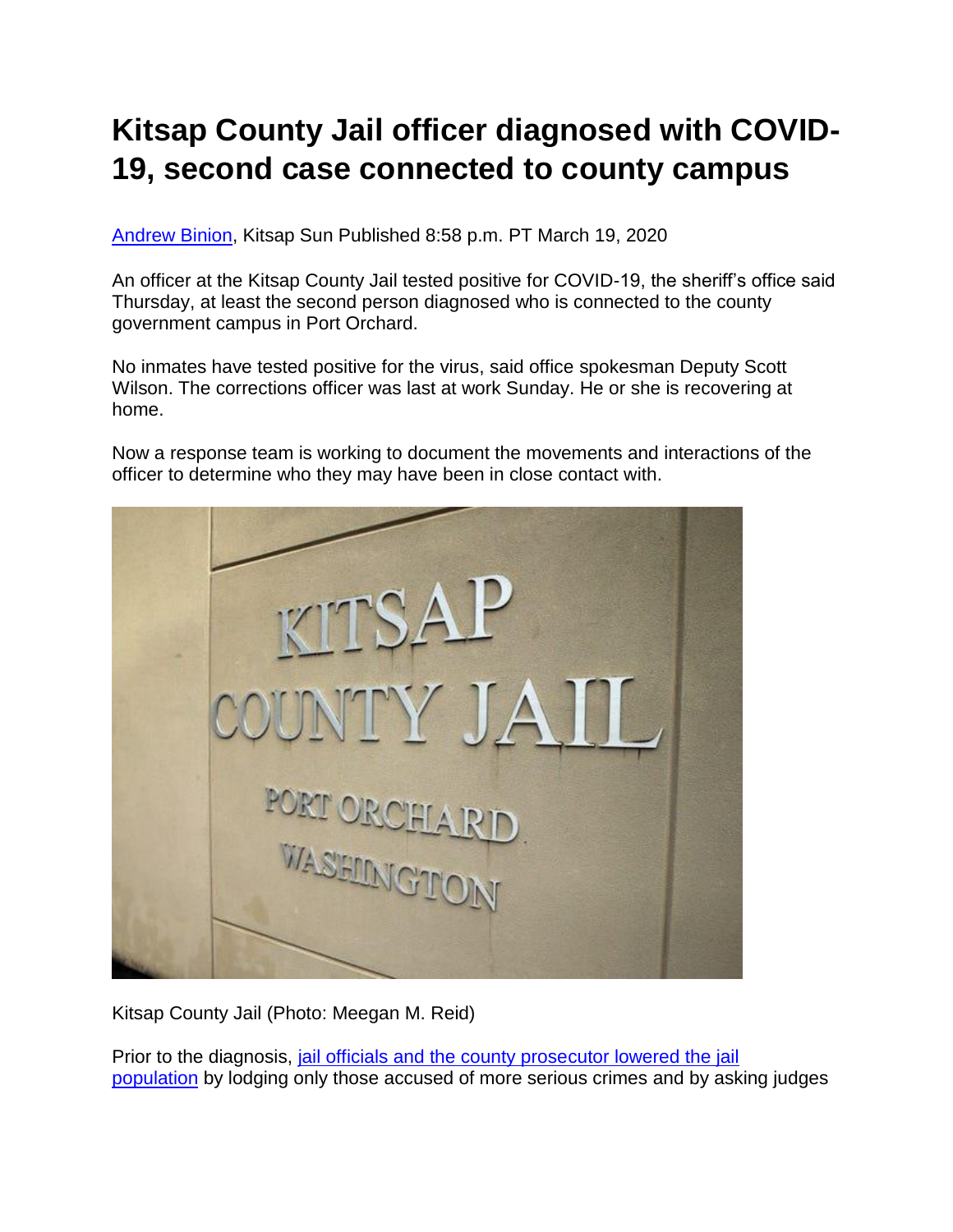## **Kitsap County Jail officer diagnosed with COVID-19, second case connected to county campus**

[Andrew Binion,](http://www.kitsapsun.com/staff/4406957002/andrew-binion/) Kitsap Sun Published 8:58 p.m. PT March 19, 2020

An officer at the Kitsap County Jail tested positive for COVID-19, the sheriff's office said Thursday, at least the second person diagnosed who is connected to the county government campus in Port Orchard.

No inmates have tested positive for the virus, said office spokesman Deputy Scott Wilson. The corrections officer was last at work Sunday. He or she is recovering at home.

Now a response team is working to document the movements and interactions of the officer to determine who they may have been in close contact with.



Kitsap County Jail (Photo: Meegan M. Reid)

Prior to the diagnosis, [jail officials and the county prosecutor lowered the jail](https://www.kitsapsun.com/story/news/2020/03/18/kitsap-county-jail-taking-steps-reduce-chance-covid-19-infections/2869893001/)  [population](https://www.kitsapsun.com/story/news/2020/03/18/kitsap-county-jail-taking-steps-reduce-chance-covid-19-infections/2869893001/) by lodging only those accused of more serious crimes and by asking judges